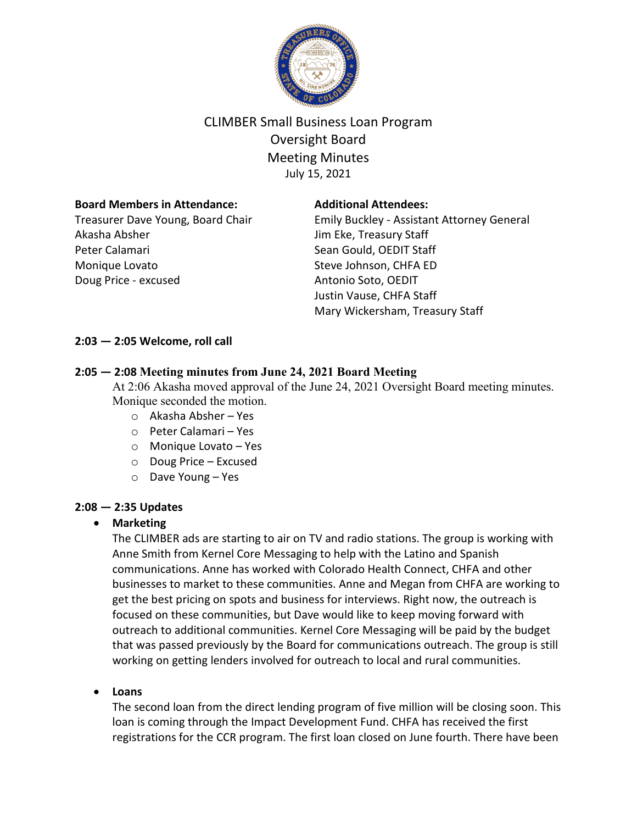

# CLIMBER Small Business Loan Program Oversight Board Meeting Minutes July 15, 2021

## **Board Members in Attendance:**

Treasurer Dave Young, Board Chair Akasha Absher Peter Calamari Monique Lovato Doug Price - excused

## **Additional Attendees:**

Emily Buckley - Assistant Attorney General Jim Eke, Treasury Staff Sean Gould, OEDIT Staff Steve Johnson, CHFA ED Antonio Soto, OEDIT Justin Vause, CHFA Staff Mary Wickersham, Treasury Staff

## **2:03 — 2:05 Welcome, roll call**

## **2:05 — 2:08 Meeting minutes from June 24, 2021 Board Meeting**

At 2:06 Akasha moved approval of the June 24, 2021 Oversight Board meeting minutes. Monique seconded the motion.

- o Akasha Absher Yes
- o Peter Calamari Yes
- o Monique Lovato Yes
- o Doug Price Excused
- o Dave Young Yes

#### **2:08 — 2:35 Updates**

#### • **Marketing**

The CLIMBER ads are starting to air on TV and radio stations. The group is working with Anne Smith from Kernel Core Messaging to help with the Latino and Spanish communications. Anne has worked with Colorado Health Connect, CHFA and other businesses to market to these communities. Anne and Megan from CHFA are working to get the best pricing on spots and business for interviews. Right now, the outreach is focused on these communities, but Dave would like to keep moving forward with outreach to additional communities. Kernel Core Messaging will be paid by the budget that was passed previously by the Board for communications outreach. The group is still working on getting lenders involved for outreach to local and rural communities.

## • **Loans**

The second loan from the direct lending program of five million will be closing soon. This loan is coming through the Impact Development Fund. CHFA has received the first registrations for the CCR program. The first loan closed on June fourth. There have been